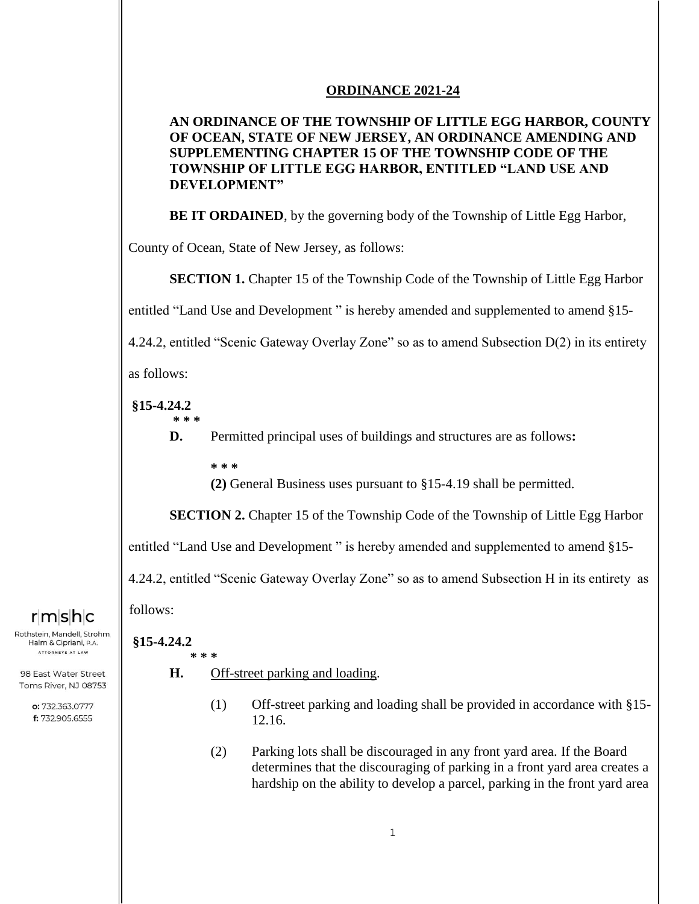## **ORDINANCE 2021-24**

## **AN ORDINANCE OF THE TOWNSHIP OF LITTLE EGG HARBOR, COUNTY OF OCEAN, STATE OF NEW JERSEY, AN ORDINANCE AMENDING AND SUPPLEMENTING CHAPTER 15 OF THE TOWNSHIP CODE OF THE TOWNSHIP OF LITTLE EGG HARBOR, ENTITLED "LAND USE AND DEVELOPMENT"**

**BE IT ORDAINED**, by the governing body of the Township of Little Egg Harbor,

County of Ocean, State of New Jersey, as follows:

**SECTION 1.** Chapter 15 of the Township Code of the Township of Little Egg Harbor

entitled "Land Use and Development " is hereby amended and supplemented to amend §15-

4.24.2, entitled "Scenic Gateway Overlay Zone" so as to amend Subsection D(2) in its entirety

as follows:

# **§15-4.24.2**

**\* \* \***

- **D.** Permitted principal uses of buildings and structures are as follows**:**
	- **\* \* \***

**(2)** General Business uses pursuant to §15-4.19 shall be permitted.

**SECTION 2.** Chapter 15 of the Township Code of the Township of Little Egg Harbor

entitled "Land Use and Development " is hereby amended and supplemented to amend §15-

4.24.2, entitled "Scenic Gateway Overlay Zone" so as to amend Subsection H in its entirety as

follows:

Rothstein, Mandell, Strohm. Halm & Cipriani, P.A. ATTORNEYS AT LAW

98 East Water Street Toms River, NJ 08753

rmshc

o: 732.363.0777 f: 732.905.6555

#### **§15-4.24.2 \* \* \***

- **H.** Off-street parking and loading.
	- (1) Off-street parking and loading shall be provided in accordance with §15- 12.16.
	- (2) Parking lots shall be discouraged in any front yard area. If the Board determines that the discouraging of parking in a front yard area creates a hardship on the ability to develop a parcel, parking in the front yard area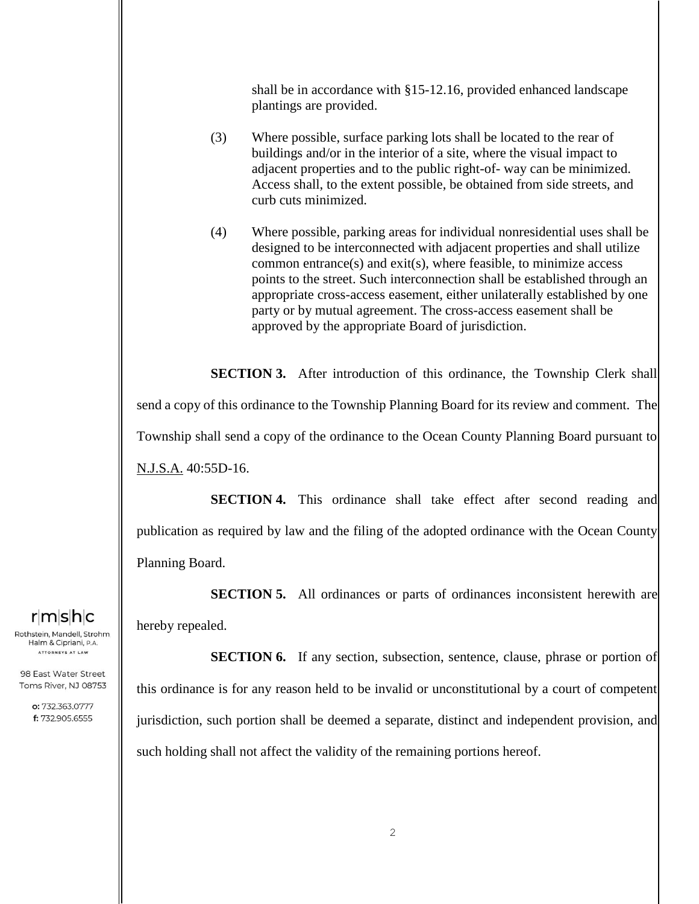shall be in accordance with §15-12.16, provided enhanced landscape plantings are provided.

- (3) Where possible, surface parking lots shall be located to the rear of buildings and/or in the interior of a site, where the visual impact to adjacent properties and to the public right-of- way can be minimized. Access shall, to the extent possible, be obtained from side streets, and curb cuts minimized.
- (4) Where possible, parking areas for individual nonresidential uses shall be designed to be interconnected with adjacent properties and shall utilize common entrance(s) and exit(s), where feasible, to minimize access points to the street. Such interconnection shall be established through an appropriate cross-access easement, either unilaterally established by one party or by mutual agreement. The cross-access easement shall be approved by the appropriate Board of jurisdiction.

**SECTION 3.** After introduction of this ordinance, the Township Clerk shall send a copy of this ordinance to the Township Planning Board for its review and comment. The Township shall send a copy of the ordinance to the Ocean County Planning Board pursuant to N.J.S.A. 40:55D-16.

**SECTION 4.** This ordinance shall take effect after second reading and publication as required by law and the filing of the adopted ordinance with the Ocean County Planning Board.

**SECTION 5.** All ordinances or parts of ordinances inconsistent herewith are hereby repealed.

**SECTION 6.** If any section, subsection, sentence, clause, phrase or portion of this ordinance is for any reason held to be invalid or unconstitutional by a court of competent jurisdiction, such portion shall be deemed a separate, distinct and independent provision, and such holding shall not affect the validity of the remaining portions hereof.

 $r$ m $s$ h $c$ 

Rothstein, Mandell, Strohm, Halm & Cipriani, P.A. ATTORNEYS AT LAW

98 East Water Street Toms River, NJ 08753

> o: 732.363.0777 f: 732.905.6555